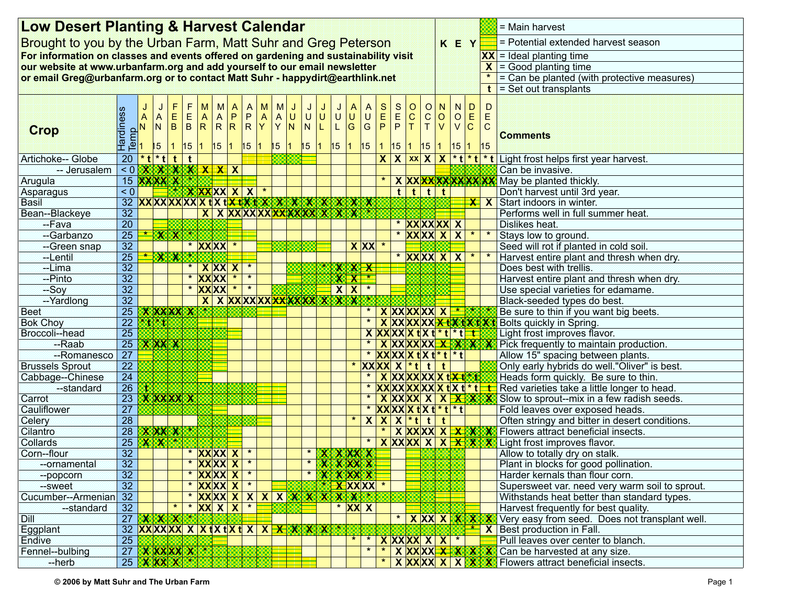|                                                                               | <b>Low Desert Planting &amp; Harvest Calendar</b>                                   |   |                              |                           |                                                                     |                                                                  |   |                      |                                                                               |                                                     |                     |         |                                          |  |                                |                           | $=$ Main harvest |                               |                                     |                                         |                  |                                      |                                                    |                            |                           |                         |                              |                                                                |
|-------------------------------------------------------------------------------|-------------------------------------------------------------------------------------|---|------------------------------|---------------------------|---------------------------------------------------------------------|------------------------------------------------------------------|---|----------------------|-------------------------------------------------------------------------------|-----------------------------------------------------|---------------------|---------|------------------------------------------|--|--------------------------------|---------------------------|------------------|-------------------------------|-------------------------------------|-----------------------------------------|------------------|--------------------------------------|----------------------------------------------------|----------------------------|---------------------------|-------------------------|------------------------------|----------------------------------------------------------------|
|                                                                               | Brought to you by the Urban Farm, Matt Suhr and Greg Peterson                       |   |                              |                           |                                                                     |                                                                  |   |                      |                                                                               |                                                     |                     |         |                                          |  |                                |                           | K E Y            |                               | = Potential extended harvest season |                                         |                  |                                      |                                                    |                            |                           |                         |                              |                                                                |
|                                                                               | For information on classes and events offered on gardening and sustainability visit |   |                              |                           |                                                                     |                                                                  |   |                      |                                                                               |                                                     |                     |         |                                          |  |                                |                           |                  |                               |                                     |                                         |                  | $ XX $ = Ideal planting time         |                                                    |                            |                           |                         |                              |                                                                |
|                                                                               | our website at www.urbanfarm.org and add yourself to our email newsletter           |   |                              |                           |                                                                     |                                                                  |   |                      |                                                                               |                                                     |                     |         |                                          |  |                                |                           |                  |                               |                                     |                                         |                  | $\vert X \vert$ = Good planting time |                                                    |                            |                           |                         |                              |                                                                |
| or email Greg@urbanfarm.org or to contact Matt Suhr - happydirt@earthlink.net |                                                                                     |   |                              |                           |                                                                     |                                                                  |   |                      |                                                                               |                                                     |                     |         |                                          |  |                                |                           |                  |                               |                                     |                                         |                  |                                      |                                                    |                            |                           |                         |                              | = Can be planted (with protective measures)                    |
|                                                                               |                                                                                     |   |                              |                           |                                                                     |                                                                  |   |                      |                                                                               |                                                     |                     |         |                                          |  |                                |                           |                  |                               |                                     |                                         |                  |                                      |                                                    |                            |                           |                         | t                            | $\vert$ = Set out transplants                                  |
|                                                                               |                                                                                     |   |                              |                           |                                                                     |                                                                  |   |                      |                                                                               |                                                     |                     |         |                                          |  |                                |                           |                  |                               |                                     |                                         |                  |                                      |                                                    |                            |                           |                         |                              |                                                                |
| Crop                                                                          | Hardiness<br>Temp<br>2 Z A L                                                        | J | A<br>${\sf N}$<br>$\vert$ 15 |                           | F<br>$\left  \frac{\mathsf{E}}{\mathsf{B}} \right $<br>$\mathbf{1}$ | F<br>$\begin{array}{ c c }\nE & A \\ B & R\n\end{array}$<br>15 1 | M | M<br>15 1            | $\mathsf{A}$<br>$\begin{array}{ c c c }\n\hline\nA & P \\ R & R\n\end{array}$ | $\begin{array}{c}\nA \\ P \\ R\n\end{array}$<br> 15 | M<br>$\overline{A}$ |         | M<br>$\mathsf{A}$<br> บ<br>$Y$ N<br>15 1 |  | U U <br> N <br>15 1            | L.                        | L G<br>15 1      | U U                           | A<br> U <br> G                      | $\begin{array}{c}\nS \\ E\n\end{array}$ | $rac{S}{E}$<br>P | $ 0 \over c$<br>T.                   | $\circ$<br>${\bf C}$<br>T<br>15 1 15 1 15 1        | N<br>$ 0\rangle$<br>$\vee$ | ${\sf N}$<br>$\mathsf{V}$ | D<br>O E<br> C <br>15 1 | D<br>E<br>$\mathbf C$<br> 15 | <b>Comments</b>                                                |
| Artichoke-- Globe                                                             | $20 * t * t$                                                                        |   |                              |                           | t                                                                   | $\mathbf{t}$                                                     |   |                      |                                                                               |                                                     |                     |         |                                          |  |                                |                           |                  |                               |                                     |                                         |                  |                                      | $X$ $X$ $xx$ $X$ $X$                               |                            |                           |                         |                              | *t *t *t Light frost helps first year harvest.                 |
| -- Jerusalem                                                                  | < 0 X X X X X X X X                                                                 |   |                              |                           |                                                                     |                                                                  |   |                      |                                                                               |                                                     |                     |         |                                          |  |                                |                           |                  |                               |                                     |                                         |                  |                                      |                                                    |                            |                           |                         |                              | Can be invasive.                                               |
| Arugula                                                                       | 15 <b>XXXX X</b>                                                                    |   |                              |                           |                                                                     |                                                                  |   |                      |                                                                               |                                                     |                     |         |                                          |  |                                |                           |                  |                               |                                     |                                         |                  |                                      |                                                    |                            |                           |                         |                              | X XXXXXXXXXXXX May be planted thickly.                         |
| Asparagus                                                                     | < 0                                                                                 |   |                              |                           |                                                                     |                                                                  |   | <u>* X XX</u> XX X X |                                                                               |                                                     |                     | $\star$ |                                          |  |                                |                           |                  |                               |                                     |                                         | t                | $\overline{t}$                       |                                                    | $\mathbf{t}$ t             |                           |                         |                              | Don't harvest until 3rd year.                                  |
| <b>Basil</b>                                                                  | 32 XXXXXXXXXXXXXXXXXXXXXXXXX                                                        |   |                              |                           |                                                                     |                                                                  |   |                      |                                                                               |                                                     |                     |         |                                          |  |                                |                           |                  |                               |                                     |                                         |                  |                                      |                                                    |                            |                           |                         |                              | $\frac{1}{\sqrt{2}}$ X Start indoors in winter.                |
| Bean--Blackeye                                                                | $\overline{32}$                                                                     |   |                              |                           |                                                                     |                                                                  |   |                      |                                                                               |                                                     |                     |         |                                          |  | X X X X X X X X X X X X X X X  |                           |                  |                               |                                     |                                         |                  |                                      |                                                    |                            |                           |                         |                              | Performs well in full summer heat.                             |
| --Fava                                                                        | $\overline{20}$                                                                     |   |                              |                           |                                                                     |                                                                  |   |                      |                                                                               |                                                     |                     |         |                                          |  |                                |                           |                  |                               |                                     |                                         |                  |                                      | * XXXXXX X                                         |                            |                           |                         |                              | Dislikes heat.                                                 |
| --Garbanzo                                                                    | $\overline{25}$                                                                     |   |                              | $\rightarrow$ XX          |                                                                     |                                                                  |   |                      |                                                                               |                                                     |                     |         |                                          |  |                                |                           |                  |                               |                                     |                                         |                  |                                      | * <b>XXXXX XX</b>                                  |                            |                           | $\star$                 | $\star$                      | Stays low to ground.                                           |
| -Green snap                                                                   | $\overline{32}$                                                                     |   |                              |                           |                                                                     |                                                                  |   | * XXXX *             |                                                                               |                                                     |                     |         |                                          |  |                                |                           |                  |                               |                                     | $X$ $XX$ $*$                            |                  |                                      |                                                    |                            |                           |                         |                              | Seed will rot if planted in cold soil.                         |
| --Lentil                                                                      | $\overline{25}$                                                                     |   |                              | $\mathbf{X}$ $\mathbf{X}$ |                                                                     |                                                                  |   |                      |                                                                               |                                                     |                     |         |                                          |  |                                |                           |                  |                               |                                     |                                         |                  |                                      | * XXXX X X                                         |                            |                           | $\star$                 | $\star$                      | Harvest entire plant and thresh when dry.                      |
| --Lima                                                                        | 32                                                                                  |   |                              |                           |                                                                     |                                                                  |   | <b>XXXX</b>          |                                                                               | $\star$                                             |                     |         |                                          |  |                                |                           |                  | <b>XXX</b>                    |                                     |                                         |                  |                                      |                                                    |                            |                           |                         |                              | Does best with trellis.                                        |
| --Pinto                                                                       | $\overline{32}$                                                                     |   |                              |                           |                                                                     |                                                                  |   | * XXXX               | $\star$                                                                       | $\star$                                             |                     |         |                                          |  |                                |                           |                  | $X X^*$                       |                                     |                                         |                  |                                      |                                                    |                            |                           |                         |                              | Harvest entire plant and thresh when dry.                      |
| $-Soy$                                                                        | $\overline{32}$                                                                     |   |                              |                           |                                                                     |                                                                  |   | * <b>XXXX *</b>      |                                                                               | $\star$                                             |                     |         |                                          |  |                                |                           |                  | X X                           | $\star$                             |                                         |                  |                                      |                                                    |                            |                           |                         |                              | Use special varieties for edamame.                             |
| --Yardlong                                                                    | $\overline{32}$                                                                     |   |                              |                           |                                                                     |                                                                  |   |                      |                                                                               |                                                     |                     |         |                                          |  | X X XXXXXXXXXXXXXXXX           |                           |                  |                               |                                     |                                         |                  |                                      |                                                    |                            |                           |                         |                              | Black-seeded types do best.                                    |
| <b>Beet</b>                                                                   | $\overline{25}$                                                                     |   |                              |                           |                                                                     | <b>XXXXXX</b>                                                    |   |                      |                                                                               |                                                     |                     |         |                                          |  |                                |                           |                  |                               |                                     |                                         |                  |                                      | <b>XXXXXXXXX</b>                                   |                            |                           |                         |                              | Be sure to thin if you want big beets.                         |
| <b>Bok Choy</b>                                                               | $\overline{22}$                                                                     |   | $*$ t $*$ t                  |                           |                                                                     |                                                                  |   |                      |                                                                               |                                                     |                     |         |                                          |  |                                |                           |                  |                               |                                     |                                         |                  |                                      | <b>XXXXXX<del>X</del>tXtXtX1</b>                   |                            |                           |                         |                              | Bolts quickly in Spring.                                       |
| Broccoli--head                                                                | 25                                                                                  |   |                              |                           |                                                                     |                                                                  |   |                      |                                                                               |                                                     |                     |         |                                          |  |                                |                           |                  |                               |                                     |                                         |                  |                                      | $X$ $XX$ $XX$ $X$ $t$ $X$ $t$ $*$ $t$ $*$ $t$ $-t$ |                            |                           |                         |                              | Light frost improves flavor.                                   |
| --Raab                                                                        | $\overline{25}$                                                                     |   |                              | <b>XXXX</b>               |                                                                     |                                                                  |   |                      |                                                                               |                                                     |                     |         |                                          |  |                                |                           |                  |                               |                                     |                                         |                  |                                      | X XXXXXXXXXX                                       |                            |                           |                         |                              | Pick frequently to maintain production.                        |
| --Romanesco                                                                   | $\overline{27}$                                                                     |   |                              |                           |                                                                     |                                                                  |   |                      |                                                                               |                                                     |                     |         |                                          |  |                                |                           |                  |                               |                                     |                                         |                  |                                      | * <b>XXXXX txt</b> t t t t                         |                            |                           |                         |                              | Allow 15" spacing between plants.                              |
| <b>Brussels Sprout</b>                                                        | 22                                                                                  |   |                              |                           |                                                                     |                                                                  |   |                      |                                                                               |                                                     |                     |         |                                          |  |                                |                           |                  | $\star$                       |                                     |                                         |                  |                                      | $ XX XX X  * t$ t                                  | $\mathbf{t}$               |                           |                         |                              | Only early hybrids do well."Oliver" is best.                   |
| Cabbage--Chinese                                                              | $\overline{24}$                                                                     |   |                              |                           |                                                                     |                                                                  |   |                      |                                                                               |                                                     |                     |         |                                          |  |                                |                           |                  |                               |                                     |                                         |                  |                                      | X XXXXXXX txt*t                                    |                            |                           |                         |                              | Heads form quickly. Be sure to thin.                           |
| --standard                                                                    | 26                                                                                  |   |                              |                           |                                                                     |                                                                  |   |                      |                                                                               |                                                     |                     |         |                                          |  |                                |                           |                  |                               |                                     |                                         |                  |                                      |                                                    |                            |                           |                         |                              | Red varieties take a little longer to head.                    |
| Carrot                                                                        | 23                                                                                  |   |                              | <b>XXXXXX</b>             |                                                                     |                                                                  |   |                      |                                                                               |                                                     |                     |         |                                          |  |                                |                           |                  |                               |                                     |                                         |                  |                                      |                                                    |                            |                           |                         |                              | $X XX XX X X X X X$ Slow to sprout--mix in a few radish seeds. |
| Cauliflower                                                                   | 27                                                                                  |   |                              |                           |                                                                     |                                                                  |   |                      |                                                                               |                                                     |                     |         |                                          |  |                                |                           |                  |                               |                                     |                                         |                  |                                      | $ XX XX X X X *t *t $                              |                            |                           |                         |                              | Fold leaves over exposed heads.                                |
| Celery                                                                        | $\overline{28}$                                                                     |   |                              |                           |                                                                     |                                                                  |   |                      |                                                                               |                                                     |                     |         |                                          |  |                                |                           |                  | $\star$                       |                                     |                                         |                  |                                      | $X X X^*t t t$                                     |                            |                           |                         |                              | Often stringy and bitter in desert conditions.                 |
| Cilantro                                                                      | $\overline{28}$                                                                     |   |                              |                           |                                                                     | X XX X *                                                         |   |                      |                                                                               |                                                     |                     |         |                                          |  |                                |                           |                  |                               |                                     |                                         |                  |                                      |                                                    |                            |                           |                         |                              |                                                                |
| Collards                                                                      | $\overline{25}$                                                                     |   |                              | $X$ $X$ $\odot$           |                                                                     |                                                                  |   |                      |                                                                               |                                                     |                     |         |                                          |  |                                |                           |                  |                               | $\star$                             |                                         |                  |                                      |                                                    |                            |                           |                         |                              | X XXX X X X X X Light frost improves flavor.                   |
| Corn--flour                                                                   | $\overline{32}$                                                                     |   |                              |                           |                                                                     |                                                                  |   | * XXXX X             |                                                                               | $\star$                                             |                     |         |                                          |  | * X X X X X                    |                           |                  |                               |                                     |                                         |                  |                                      |                                                    |                            |                           |                         |                              | Allow to totally dry on stalk.                                 |
| --ornamental                                                                  | 32                                                                                  |   |                              |                           |                                                                     |                                                                  |   | XX XX X              |                                                                               |                                                     |                     |         |                                          |  |                                | x                         |                  | <b>XXXX</b>                   |                                     |                                         |                  |                                      |                                                    |                            |                           |                         |                              | Plant in blocks for good pollination.                          |
| --popcorn                                                                     | 32                                                                                  |   |                              |                           |                                                                     |                                                                  |   | * XXXXX X            |                                                                               | $\star$                                             |                     |         |                                          |  | $\star$                        | $\boldsymbol{\mathsf{x}}$ |                  | <b>XXXX</b>                   |                                     |                                         |                  |                                      |                                                    |                            |                           |                         |                              | Harder kernals than flour corn.                                |
| --sweet                                                                       | $\overline{32}$                                                                     |   |                              |                           |                                                                     |                                                                  |   | * XXXXX X            |                                                                               | $\star$                                             |                     |         |                                          |  |                                |                           |                  | $\overline{\textbf{X}}$ XX XX |                                     |                                         |                  |                                      |                                                    |                            |                           |                         |                              | Supersweet var. need very warm soil to sprout.                 |
| Cucumber--Armenian                                                            | $\overline{32}$                                                                     |   |                              |                           |                                                                     |                                                                  |   |                      |                                                                               |                                                     |                     |         |                                          |  | <u>* XXXX X X X X X X X X </u> |                           |                  | XXX                           |                                     |                                         |                  |                                      |                                                    |                            |                           |                         |                              | Withstands heat better than standard types.                    |
| --standard                                                                    | 32                                                                                  |   |                              |                           |                                                                     |                                                                  |   | * <b>XX X X</b>      |                                                                               | $\pmb{\ast}$                                        |                     |         |                                          |  |                                |                           |                  | * XX X                        |                                     |                                         |                  |                                      |                                                    |                            |                           |                         |                              | Harvest frequently for best quality.                           |
| Dill                                                                          | 27 X X X                                                                            |   |                              |                           |                                                                     |                                                                  |   |                      |                                                                               |                                                     |                     |         |                                          |  |                                |                           |                  |                               |                                     |                                         |                  |                                      | * X X X X X X                                      |                            |                           |                         |                              | Very easy from seed. Does not transplant well.                 |
| Eggplant                                                                      | 32 XXXXX X X X tx tx t x x X X X X X                                                |   |                              |                           |                                                                     |                                                                  |   |                      |                                                                               |                                                     |                     |         |                                          |  |                                |                           |                  |                               |                                     |                                         |                  |                                      |                                                    |                            |                           |                         | $\mathsf{X}$                 | Best production in Fall.                                       |
| Endive                                                                        | $\overline{25}$                                                                     |   |                              |                           |                                                                     |                                                                  |   |                      |                                                                               |                                                     |                     |         |                                          |  |                                |                           |                  | $\star$                       |                                     |                                         |                  |                                      | $X$ $XX$ $XX$ $X$ $X$                              |                            | $\star$                   |                         |                              | Pull leaves over center to blanch.                             |
| Fennel--bulbing                                                               | 27 <b>X XX XX X</b>                                                                 |   |                              |                           |                                                                     |                                                                  |   |                      |                                                                               |                                                     |                     |         |                                          |  |                                |                           |                  |                               | $\star$                             |                                         |                  |                                      | X XXX <del>X XXX</del>                             |                            |                           |                         |                              | Can be harvested at any size.                                  |
| --herb                                                                        | 25 X X X X                                                                          |   |                              |                           |                                                                     |                                                                  |   |                      |                                                                               |                                                     |                     |         |                                          |  |                                |                           |                  |                               |                                     |                                         |                  |                                      | $X$ $XX$ $XX$ $X$ $X$                              |                            |                           | x                       |                              | Flowers attract beneficial insects.                            |